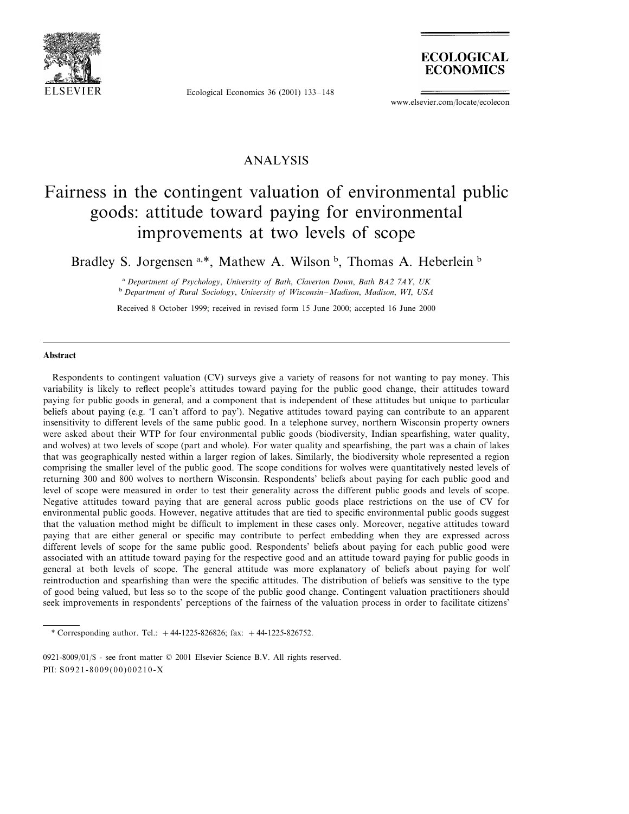

Ecological Economics 36 (2001) 133–148



www.elsevier.com/locate/ecolecon

# ANALYSIS

# Fairness in the contingent valuation of environmental public goods: attitude toward paying for environmental improvements at two levels of scope

Bradley S. Jorgensen<sup>a,\*</sup>, Mathew A. Wilson<sup>b</sup>, Thomas A. Heberlein<sup>b</sup>

<sup>a</sup> Department of Psychology, University of Bath, Claverton Down, Bath BA2 7AY, UK <sup>b</sup> *Department of Rural Sociology*, *Uni*6*ersity of Wisconsin*–*Madison*, *Madison*, *WI*, *USA*

Received 8 October 1999; received in revised form 15 June 2000; accepted 16 June 2000

#### **Abstract**

Respondents to contingent valuation (CV) surveys give a variety of reasons for not wanting to pay money. This variability is likely to reflect people's attitudes toward paying for the public good change, their attitudes toward paying for public goods in general, and a component that is independent of these attitudes but unique to particular beliefs about paying (e.g. 'I can't afford to pay'). Negative attitudes toward paying can contribute to an apparent insensitivity to different levels of the same public good. In a telephone survey, northern Wisconsin property owners were asked about their WTP for four environmental public goods (biodiversity, Indian spearfishing, water quality, and wolves) at two levels of scope (part and whole). For water quality and spearfishing, the part was a chain of lakes that was geographically nested within a larger region of lakes. Similarly, the biodiversity whole represented a region comprising the smaller level of the public good. The scope conditions for wolves were quantitatively nested levels of returning 300 and 800 wolves to northern Wisconsin. Respondents' beliefs about paying for each public good and level of scope were measured in order to test their generality across the different public goods and levels of scope. Negative attitudes toward paying that are general across public goods place restrictions on the use of CV for environmental public goods. However, negative attitudes that are tied to specific environmental public goods suggest that the valuation method might be difficult to implement in these cases only. Moreover, negative attitudes toward paying that are either general or specific may contribute to perfect embedding when they are expressed across different levels of scope for the same public good. Respondents' beliefs about paying for each public good were associated with an attitude toward paying for the respective good and an attitude toward paying for public goods in general at both levels of scope. The general attitude was more explanatory of beliefs about paying for wolf reintroduction and spearfishing than were the specific attitudes. The distribution of beliefs was sensitive to the type of good being valued, but less so to the scope of the public good change. Contingent valuation practitioners should seek improvements in respondents' perceptions of the fairness of the valuation process in order to facilitate citizens'

<sup>\*</sup> Corresponding author. Tel.:  $+44-1225-826826$ ; fax:  $+44-1225-826752$ .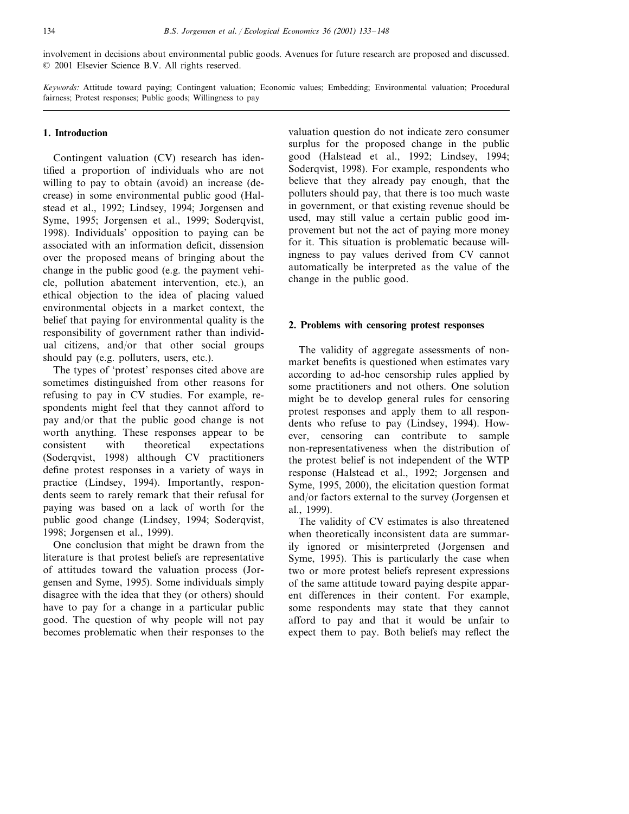involvement in decisions about environmental public goods. Avenues for future research are proposed and discussed. © 2001 Elsevier Science B.V. All rights reserved.

*Keywords*: Attitude toward paying; Contingent valuation; Economic values; Embedding; Environmental valuation; Procedural fairness; Protest responses; Public goods; Willingness to pay

#### **1. Introduction**

Contingent valuation (CV) research has identified a proportion of individuals who are not willing to pay to obtain (avoid) an increase (decrease) in some environmental public good (Halstead et al., 1992; Lindsey, 1994; Jorgensen and Syme, 1995; Jorgensen et al., 1999; Soderqvist, 1998). Individuals' opposition to paying can be associated with an information deficit, dissension over the proposed means of bringing about the change in the public good (e.g. the payment vehicle, pollution abatement intervention, etc.), an ethical objection to the idea of placing valued environmental objects in a market context, the belief that paying for environmental quality is the responsibility of government rather than individual citizens, and/or that other social groups should pay (e.g. polluters, users, etc.).

The types of 'protest' responses cited above are sometimes distinguished from other reasons for refusing to pay in CV studies. For example, respondents might feel that they cannot afford to pay and/or that the public good change is not worth anything. These responses appear to be consistent with theoretical expectations (Soderqvist, 1998) although CV practitioners define protest responses in a variety of ways in practice (Lindsey, 1994). Importantly, respondents seem to rarely remark that their refusal for paying was based on a lack of worth for the public good change (Lindsey, 1994; Soderqvist, 1998; Jorgensen et al., 1999).

One conclusion that might be drawn from the literature is that protest beliefs are representative of attitudes toward the valuation process (Jorgensen and Syme, 1995). Some individuals simply disagree with the idea that they (or others) should have to pay for a change in a particular public good. The question of why people will not pay becomes problematic when their responses to the

valuation question do not indicate zero consumer surplus for the proposed change in the public good (Halstead et al., 1992; Lindsey, 1994; Soderqvist, 1998). For example, respondents who believe that they already pay enough, that the polluters should pay, that there is too much waste in government, or that existing revenue should be used, may still value a certain public good improvement but not the act of paying more money for it. This situation is problematic because willingness to pay values derived from CV cannot automatically be interpreted as the value of the change in the public good.

## **2. Problems with censoring protest responses**

The validity of aggregate assessments of nonmarket benefits is questioned when estimates vary according to ad-hoc censorship rules applied by some practitioners and not others. One solution might be to develop general rules for censoring protest responses and apply them to all respondents who refuse to pay (Lindsey, 1994). However, censoring can contribute to sample non-representativeness when the distribution of the protest belief is not independent of the WTP response (Halstead et al., 1992; Jorgensen and Syme, 1995, 2000), the elicitation question format and/or factors external to the survey (Jorgensen et al., 1999).

The validity of CV estimates is also threatened when theoretically inconsistent data are summarily ignored or misinterpreted (Jorgensen and Syme, 1995). This is particularly the case when two or more protest beliefs represent expressions of the same attitude toward paying despite apparent differences in their content. For example, some respondents may state that they cannot afford to pay and that it would be unfair to expect them to pay. Both beliefs may reflect the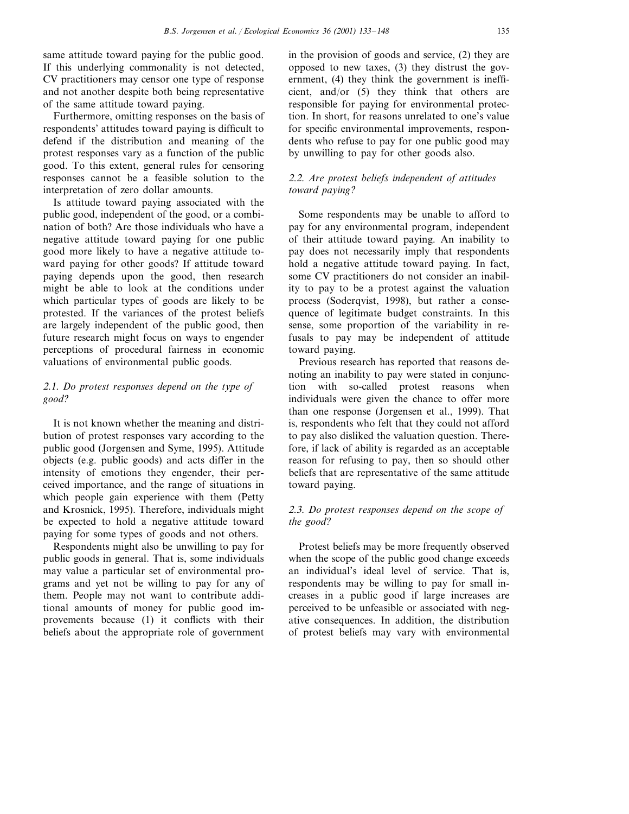same attitude toward paying for the public good. If this underlying commonality is not detected, CV practitioners may censor one type of response and not another despite both being representative of the same attitude toward paying.

Furthermore, omitting responses on the basis of respondents' attitudes toward paying is difficult to defend if the distribution and meaning of the protest responses vary as a function of the public good. To this extent, general rules for censoring responses cannot be a feasible solution to the interpretation of zero dollar amounts.

Is attitude toward paying associated with the public good, independent of the good, or a combination of both? Are those individuals who have a negative attitude toward paying for one public good more likely to have a negative attitude toward paying for other goods? If attitude toward paying depends upon the good, then research might be able to look at the conditions under which particular types of goods are likely to be protested. If the variances of the protest beliefs are largely independent of the public good, then future research might focus on ways to engender perceptions of procedural fairness in economic valuations of environmental public goods.

## <sup>2</sup>.1. *Do protest responses depend on the type of good*?

It is not known whether the meaning and distribution of protest responses vary according to the public good (Jorgensen and Syme, 1995). Attitude objects (e.g. public goods) and acts differ in the intensity of emotions they engender, their perceived importance, and the range of situations in which people gain experience with them (Petty and Krosnick, 1995). Therefore, individuals might be expected to hold a negative attitude toward paying for some types of goods and not others.

Respondents might also be unwilling to pay for public goods in general. That is, some individuals may value a particular set of environmental programs and yet not be willing to pay for any of them. People may not want to contribute additional amounts of money for public good improvements because (1) it conflicts with their beliefs about the appropriate role of government

in the provision of goods and service, (2) they are opposed to new taxes, (3) they distrust the government, (4) they think the government is inefficient, and/or (5) they think that others are responsible for paying for environmental protection. In short, for reasons unrelated to one's value for specific environmental improvements, respondents who refuse to pay for one public good may by unwilling to pay for other goods also.

## <sup>2</sup>.2. *Are protest beliefs independent of attitudes toward paying*?

Some respondents may be unable to afford to pay for any environmental program, independent of their attitude toward paying. An inability to pay does not necessarily imply that respondents hold a negative attitude toward paying. In fact, some CV practitioners do not consider an inability to pay to be a protest against the valuation process (Soderqvist, 1998), but rather a consequence of legitimate budget constraints. In this sense, some proportion of the variability in refusals to pay may be independent of attitude toward paying.

Previous research has reported that reasons denoting an inability to pay were stated in conjunction with so-called protest reasons when individuals were given the chance to offer more than one response (Jorgensen et al., 1999). That is, respondents who felt that they could not afford to pay also disliked the valuation question. Therefore, if lack of ability is regarded as an acceptable reason for refusing to pay, then so should other beliefs that are representative of the same attitude toward paying.

## <sup>2</sup>.3. *Do protest responses depend on the scope of the good*?

Protest beliefs may be more frequently observed when the scope of the public good change exceeds an individual's ideal level of service. That is, respondents may be willing to pay for small increases in a public good if large increases are perceived to be unfeasible or associated with negative consequences. In addition, the distribution of protest beliefs may vary with environmental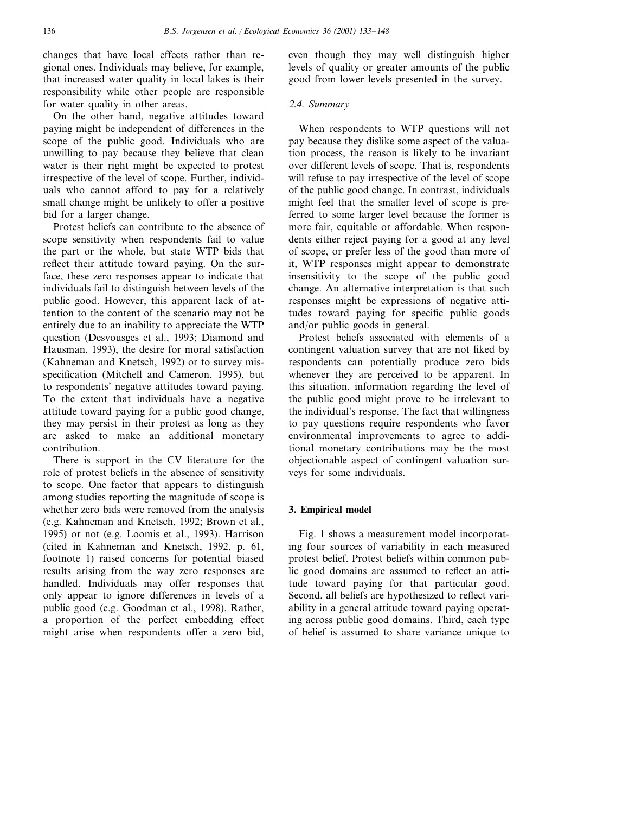changes that have local effects rather than regional ones. Individuals may believe, for example, that increased water quality in local lakes is their responsibility while other people are responsible for water quality in other areas.

On the other hand, negative attitudes toward paying might be independent of differences in the scope of the public good. Individuals who are unwilling to pay because they believe that clean water is their right might be expected to protest irrespective of the level of scope. Further, individuals who cannot afford to pay for a relatively small change might be unlikely to offer a positive bid for a larger change.

Protest beliefs can contribute to the absence of scope sensitivity when respondents fail to value the part or the whole, but state WTP bids that reflect their attitude toward paying. On the surface, these zero responses appear to indicate that individuals fail to distinguish between levels of the public good. However, this apparent lack of attention to the content of the scenario may not be entirely due to an inability to appreciate the WTP question (Desvousges et al., 1993; Diamond and Hausman, 1993), the desire for moral satisfaction (Kahneman and Knetsch, 1992) or to survey misspecification (Mitchell and Cameron, 1995), but to respondents' negative attitudes toward paying. To the extent that individuals have a negative attitude toward paying for a public good change, they may persist in their protest as long as they are asked to make an additional monetary contribution.

There is support in the CV literature for the role of protest beliefs in the absence of sensitivity to scope. One factor that appears to distinguish among studies reporting the magnitude of scope is whether zero bids were removed from the analysis (e.g. Kahneman and Knetsch, 1992; Brown et al., 1995) or not (e.g. Loomis et al., 1993). Harrison (cited in Kahneman and Knetsch, 1992, p. 61, footnote 1) raised concerns for potential biased results arising from the way zero responses are handled. Individuals may offer responses that only appear to ignore differences in levels of a public good (e.g. Goodman et al., 1998). Rather, a proportion of the perfect embedding effect might arise when respondents offer a zero bid,

even though they may well distinguish higher levels of quality or greater amounts of the public good from lower levels presented in the survey.

#### <sup>2</sup>.4. *Summary*

When respondents to WTP questions will not pay because they dislike some aspect of the valuation process, the reason is likely to be invariant over different levels of scope. That is, respondents will refuse to pay irrespective of the level of scope of the public good change. In contrast, individuals might feel that the smaller level of scope is preferred to some larger level because the former is more fair, equitable or affordable. When respondents either reject paying for a good at any level of scope, or prefer less of the good than more of it, WTP responses might appear to demonstrate insensitivity to the scope of the public good change. An alternative interpretation is that such responses might be expressions of negative attitudes toward paying for specific public goods and/or public goods in general.

Protest beliefs associated with elements of a contingent valuation survey that are not liked by respondents can potentially produce zero bids whenever they are perceived to be apparent. In this situation, information regarding the level of the public good might prove to be irrelevant to the individual's response. The fact that willingness to pay questions require respondents who favor environmental improvements to agree to additional monetary contributions may be the most objectionable aspect of contingent valuation surveys for some individuals.

#### **3. Empirical model**

Fig. 1 shows a measurement model incorporating four sources of variability in each measured protest belief. Protest beliefs within common public good domains are assumed to reflect an attitude toward paying for that particular good. Second, all beliefs are hypothesized to reflect variability in a general attitude toward paying operating across public good domains. Third, each type of belief is assumed to share variance unique to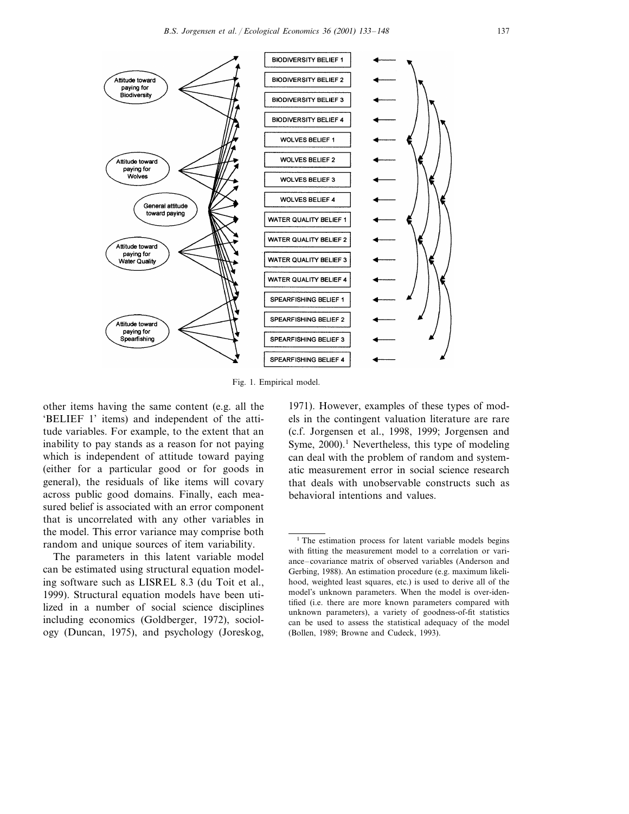

Fig. 1. Empirical model.

other items having the same content (e.g. all the 'BELIEF 1' items) and independent of the attitude variables. For example, to the extent that an inability to pay stands as a reason for not paying which is independent of attitude toward paying (either for a particular good or for goods in general), the residuals of like items will covary across public good domains. Finally, each measured belief is associated with an error component that is uncorrelated with any other variables in the model. This error variance may comprise both random and unique sources of item variability.

The parameters in this latent variable model can be estimated using structural equation modeling software such as LISREL 8.3 (du Toit et al., 1999). Structural equation models have been utilized in a number of social science disciplines including economics (Goldberger, 1972), sociology (Duncan, 1975), and psychology (Joreskog,

1971). However, examples of these types of models in the contingent valuation literature are rare (c.f. Jorgensen et al., 1998, 1999; Jorgensen and Syme,  $2000$ .<sup>1</sup> Nevertheless, this type of modeling can deal with the problem of random and systematic measurement error in social science research that deals with unobservable constructs such as behavioral intentions and values.

<sup>&</sup>lt;sup>1</sup> The estimation process for latent variable models begins with fitting the measurement model to a correlation or variance–covariance matrix of observed variables (Anderson and Gerbing, 1988). An estimation procedure (e.g. maximum likelihood, weighted least squares, etc.) is used to derive all of the model's unknown parameters. When the model is over-identified (i.e. there are more known parameters compared with unknown parameters), a variety of goodness-of-fit statistics can be used to assess the statistical adequacy of the model (Bollen, 1989; Browne and Cudeck, 1993).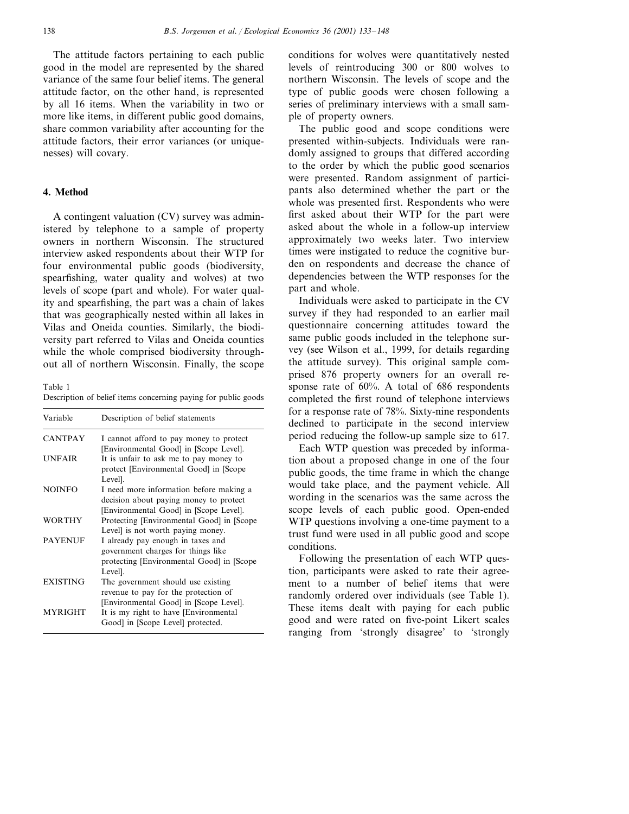The attitude factors pertaining to each public good in the model are represented by the shared variance of the same four belief items. The general attitude factor, on the other hand, is represented by all 16 items. When the variability in two or more like items, in different public good domains, share common variability after accounting for the attitude factors, their error variances (or uniquenesses) will covary.

## **4. Method**

A contingent valuation (CV) survey was administered by telephone to a sample of property owners in northern Wisconsin. The structured interview asked respondents about their WTP for four environmental public goods (biodiversity, spearfishing, water quality and wolves) at two levels of scope (part and whole). For water quality and spearfishing, the part was a chain of lakes that was geographically nested within all lakes in Vilas and Oneida counties. Similarly, the biodiversity part referred to Vilas and Oneida counties while the whole comprised biodiversity throughout all of northern Wisconsin. Finally, the scope

Table 1

Description of belief items concerning paying for public goods

| Variable        | Description of belief statements                                                                                                |
|-----------------|---------------------------------------------------------------------------------------------------------------------------------|
| <b>CANTPAY</b>  | I cannot afford to pay money to protect<br>[Environmental Good] in [Scope Level].                                               |
| <b>UNFAIR</b>   | It is unfair to ask me to pay money to<br>protect [Environmental Good] in [Scope]<br>Level].                                    |
| <b>NOINFO</b>   | I need more information before making a<br>decision about paying money to protect<br>[Environmental Good] in [Scope Level].     |
| <b>WORTHY</b>   | Protecting [Environmental Good] in [Scope]<br>Levell is not worth paying money.                                                 |
| <b>PAYENUF</b>  | I already pay enough in taxes and<br>government charges for things like<br>protecting [Environmental Good] in [Scope<br>Level]. |
| <b>EXISTING</b> | The government should use existing<br>revenue to pay for the protection of<br>[Environmental Good] in [Scope Level].            |
| <b>MYRIGHT</b>  | It is my right to have [Environmental]<br>Good] in [Scope Level] protected.                                                     |

conditions for wolves were quantitatively nested levels of reintroducing 300 or 800 wolves to northern Wisconsin. The levels of scope and the type of public goods were chosen following a series of preliminary interviews with a small sample of property owners.

The public good and scope conditions were presented within-subjects. Individuals were randomly assigned to groups that differed according to the order by which the public good scenarios were presented. Random assignment of participants also determined whether the part or the whole was presented first. Respondents who were first asked about their WTP for the part were asked about the whole in a follow-up interview approximately two weeks later. Two interview times were instigated to reduce the cognitive burden on respondents and decrease the chance of dependencies between the WTP responses for the part and whole.

Individuals were asked to participate in the CV survey if they had responded to an earlier mail questionnaire concerning attitudes toward the same public goods included in the telephone survey (see Wilson et al., 1999, for details regarding the attitude survey). This original sample comprised 876 property owners for an overall response rate of 60%. A total of 686 respondents completed the first round of telephone interviews for a response rate of 78%. Sixty-nine respondents declined to participate in the second interview period reducing the follow-up sample size to 617.

Each WTP question was preceded by information about a proposed change in one of the four public goods, the time frame in which the change would take place, and the payment vehicle. All wording in the scenarios was the same across the scope levels of each public good. Open-ended WTP questions involving a one-time payment to a trust fund were used in all public good and scope conditions.

Following the presentation of each WTP question, participants were asked to rate their agreement to a number of belief items that were randomly ordered over individuals (see Table 1). These items dealt with paying for each public good and were rated on five-point Likert scales ranging from 'strongly disagree' to 'strongly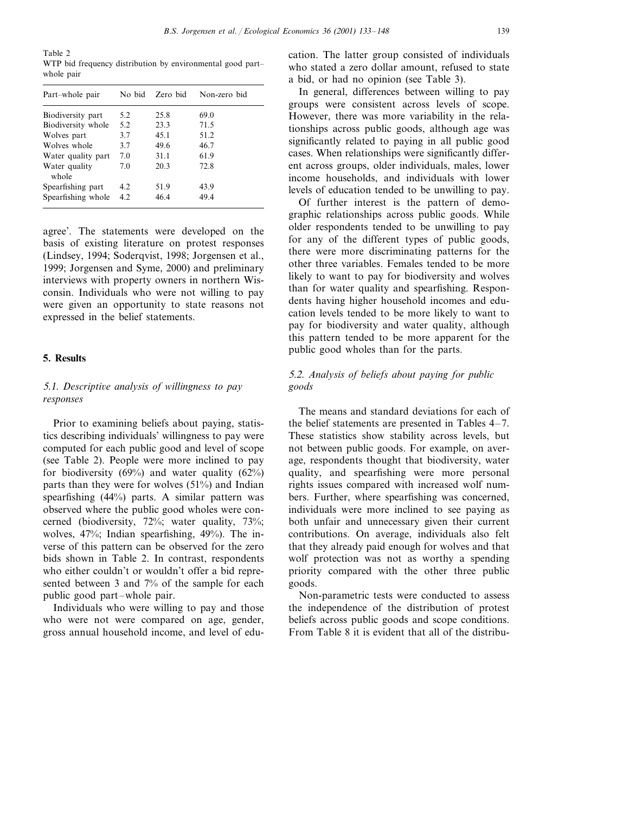Table 2 WTP bid frequency distribution by environmental good part– whole pair

| Part-whole pair        | No bid | Zero bid | Non-zero bid |
|------------------------|--------|----------|--------------|
| Biodiversity part      | 5.2    | 25.8     | 69.0         |
| Biodiversity whole     | 5.2    | 23.3     | 71.5         |
| Wolves part            | 3.7    | 45.1     | 51.2         |
| Wolves whole           | 3.7    | 49.6     | 46.7         |
| Water quality part     | 7.0    | 31.1     | 61.9         |
| Water quality<br>whole | 7.0    | 20.3     | 72.8         |
| Spearfishing part      | 4.2    | 51.9     | 43.9         |
| Spearfishing whole     | 4.2    | 46.4     | 49.4         |

agree'. The statements were developed on the basis of existing literature on protest responses (Lindsey, 1994; Soderqvist, 1998; Jorgensen et al., 1999; Jorgensen and Syme, 2000) and preliminary interviews with property owners in northern Wisconsin. Individuals who were not willing to pay were given an opportunity to state reasons not expressed in the belief statements.

#### **5. Results**

## <sup>5</sup>.1. *Descripti*6*e analysis of willingness to pay responses*

Prior to examining beliefs about paying, statistics describing individuals' willingness to pay were computed for each public good and level of scope (see Table 2). People were more inclined to pay for biodiversity  $(69\%)$  and water quality  $(62\%)$ parts than they were for wolves (51%) and Indian spearfishing (44%) parts. A similar pattern was observed where the public good wholes were concerned (biodiversity, 72%; water quality, 73%; wolves, 47%; Indian spearfishing, 49%). The inverse of this pattern can be observed for the zero bids shown in Table 2. In contrast, respondents who either couldn't or wouldn't offer a bid represented between 3 and 7% of the sample for each public good part–whole pair.

Individuals who were willing to pay and those who were not were compared on age, gender, gross annual household income, and level of education. The latter group consisted of individuals who stated a zero dollar amount, refused to state a bid, or had no opinion (see Table 3).

In general, differences between willing to pay groups were consistent across levels of scope. However, there was more variability in the relationships across public goods, although age was significantly related to paying in all public good cases. When relationships were significantly different across groups, older individuals, males, lower income households, and individuals with lower levels of education tended to be unwilling to pay.

Of further interest is the pattern of demographic relationships across public goods. While older respondents tended to be unwilling to pay for any of the different types of public goods, there were more discriminating patterns for the other three variables. Females tended to be more likely to want to pay for biodiversity and wolves than for water quality and spearfishing. Respondents having higher household incomes and education levels tended to be more likely to want to pay for biodiversity and water quality, although this pattern tended to be more apparent for the public good wholes than for the parts.

## <sup>5</sup>.2. *Analysis of beliefs about paying for public goods*

The means and standard deviations for each of the belief statements are presented in Tables 4–7. These statistics show stability across levels, but not between public goods. For example, on average, respondents thought that biodiversity, water quality, and spearfishing were more personal rights issues compared with increased wolf numbers. Further, where spearfishing was concerned, individuals were more inclined to see paying as both unfair and unnecessary given their current contributions. On average, individuals also felt that they already paid enough for wolves and that wolf protection was not as worthy a spending priority compared with the other three public goods.

Non-parametric tests were conducted to assess the independence of the distribution of protest beliefs across public goods and scope conditions. From Table 8 it is evident that all of the distribu-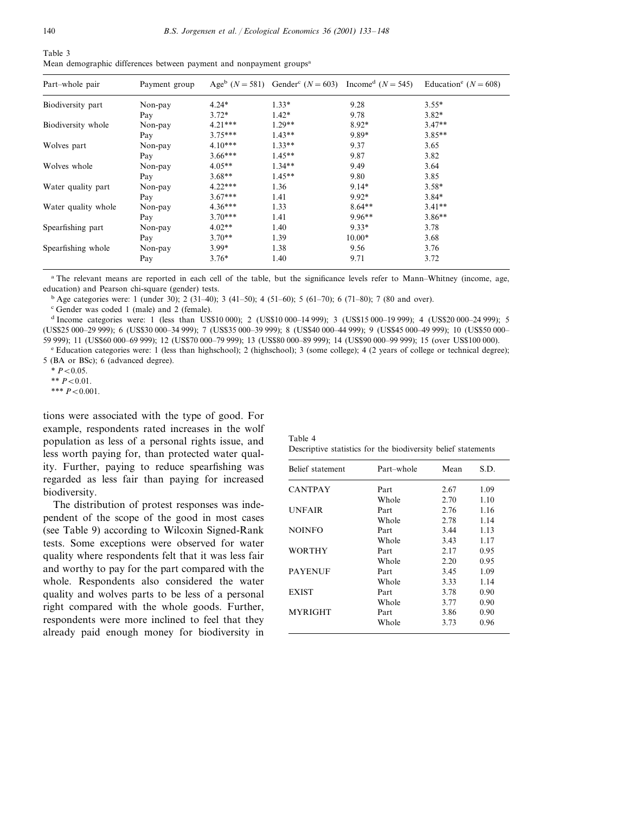| Part-whole pair     | Payment group |           |          |          | Age <sup>b</sup> ( $N = 581$ ) Gender <sup>c</sup> ( $N = 603$ ) Income <sup>d</sup> ( $N = 545$ ) Education <sup>e</sup> ( $N = 608$ ) |
|---------------------|---------------|-----------|----------|----------|-----------------------------------------------------------------------------------------------------------------------------------------|
| Biodiversity part   | Non-pay       | $4.24*$   | $1.33*$  | 9.28     | $3.55*$                                                                                                                                 |
|                     | Pay           | $3.72*$   | $1.42*$  | 9.78     | $3.82*$                                                                                                                                 |
| Biodiversity whole  | Non-pay       | $4.21***$ | $1.29**$ | 8.92*    | $3.47**$                                                                                                                                |
|                     | Pay           | $3.75***$ | $1.43**$ | $9.89*$  | $3.85**$                                                                                                                                |
| Wolves part         | Non-pay       | $4.10***$ | $1.33**$ | 9.37     | 3.65                                                                                                                                    |
|                     | Pay           | $3.66***$ | $1.45**$ | 9.87     | 3.82                                                                                                                                    |
| Wolves whole        | Non-pay       | $4.05**$  | $1.34**$ | 9.49     | 3.64                                                                                                                                    |
|                     | Pay           | $3.68**$  | $1.45**$ | 9.80     | 3.85                                                                                                                                    |
| Water quality part  | Non-pay       | $4.22***$ | 1.36     | $9.14*$  | $3.58*$                                                                                                                                 |
|                     | Pay           | $3.67***$ | 1.41     | $9.92*$  | $3.84*$                                                                                                                                 |
| Water quality whole | Non-pay       | $4.36***$ | 1.33     | $8.64**$ | $3.41**$                                                                                                                                |
|                     | Pay           | $3.70***$ | 1.41     | $9.96**$ | $3.86**$                                                                                                                                |
| Spearfishing part   | Non-pay       | $4.02**$  | 1.40     | $9.33*$  | 3.78                                                                                                                                    |
|                     | Pay           | $3.70**$  | 1.39     | $10.00*$ | 3.68                                                                                                                                    |
| Spearfishing whole  | Non-pay       | $3.99*$   | 1.38     | 9.56     | 3.76                                                                                                                                    |
|                     | Pay           | $3.76*$   | 1.40     | 9.71     | 3.72                                                                                                                                    |

Table 3 Mean demographic differences between payment and nonpayment groups<sup>a</sup>

<sup>a</sup> The relevant means are reported in each cell of the table, but the significance levels refer to Mann–Whitney (income, age, education) and Pearson chi-square (gender) tests.

<sup>b</sup> Age categories were: 1 (under 30); 2 (31–40); 3 (41–50); 4 (51–60); 5 (61–70); 6 (71–80); 7 (80 and over).

<sup>c</sup> Gender was coded 1 (male) and 2 (female).

<sup>d</sup> Income categories were: 1 (less than US\$10 000); 2 (US\$10 000–14 999); 3 (US\$15 000–19 999); 4 (US\$20 000–24 999); 5 (US\$25 000–29 999); 6 (US\$30 000–34 999); 7 (US\$35 000–39 999); 8 (US\$40 000–44 999); 9 (US\$45 000–49 999); 10 (US\$50 000– 59 999); 11 (US\$60 000–69 999); 12 (US\$70 000–79 999); 13 (US\$80 000–89 999); 14 (US\$90 000–99 999); 15 (over US\$100 000).

<sup>e</sup> Education categories were: 1 (less than highschool); 2 (highschool); 3 (some college); 4 (2 years of college or technical degree); 5 (BA or BSc); 6 (advanced degree).

 $* P < 0.05.$  $*$  *P* < 0.01. \*\*\*  $P < 0.001$ .

tions were associated with the type of good. For example, respondents rated increases in the wolf population as less of a personal rights issue, and less worth paying for, than protected water quality. Further, paying to reduce spearfishing was regarded as less fair than paying for increased biodiversity.

The distribution of protest responses was independent of the scope of the good in most cases (see Table 9) according to Wilcoxin Signed-Rank tests. Some exceptions were observed for water quality where respondents felt that it was less fair and worthy to pay for the part compared with the whole. Respondents also considered the water quality and wolves parts to be less of a personal right compared with the whole goods. Further, respondents were more inclined to feel that they already paid enough money for biodiversity in

| Table 4 |  |                                                               |  |
|---------|--|---------------------------------------------------------------|--|
|         |  | Descriptive statistics for the biodiversity belief statements |  |

| Belief statement | Part-whole | Mean | S.D. |
|------------------|------------|------|------|
| <b>CANTPAY</b>   | Part       | 2.67 | 1.09 |
|                  | Whole      | 2.70 | 1.10 |
| <b>UNFAIR</b>    | Part       | 2.76 | 1.16 |
|                  | Whole      | 2.78 | 1.14 |
| <b>NOINFO</b>    | Part       | 3.44 | 1.13 |
|                  | Whole      | 3.43 | 1.17 |
| WORTHY           | Part       | 2.17 | 0.95 |
|                  | Whole      | 2.20 | 0.95 |
| <b>PAYENUF</b>   | Part       | 3.45 | 1.09 |
|                  | Whole      | 3.33 | 1.14 |
| <b>EXIST</b>     | Part       | 3.78 | 0.90 |
|                  | Whole      | 3.77 | 0.90 |
| <b>MYRIGHT</b>   | Part       | 3.86 | 0.90 |
|                  | Whole      | 3.73 | 0.96 |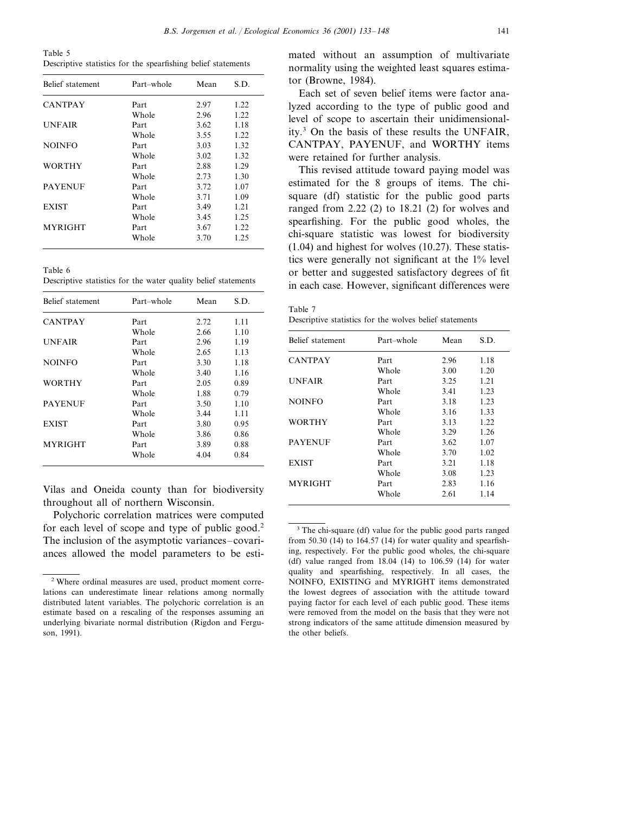Table 5 Descriptive statistics for the spearfishing belief statements

| Belief statement | Part-whole | Mean | S.D. |
|------------------|------------|------|------|
| <b>CANTPAY</b>   | Part       | 2.97 | 1.22 |
|                  | Whole      | 2.96 | 1.22 |
| <b>UNFAIR</b>    | Part       | 3.62 | 1.18 |
|                  | Whole      | 3.55 | 1.22 |
| <b>NOINFO</b>    | Part       | 3.03 | 1.32 |
|                  | Whole      | 3.02 | 1.32 |
| <b>WORTHY</b>    | Part       | 2.88 | 1.29 |
|                  | Whole      | 2.73 | 1.30 |
| <b>PAYENUF</b>   | Part       | 3.72 | 1.07 |
|                  | Whole      | 3.71 | 1.09 |
| <b>EXIST</b>     | Part       | 3.49 | 1.21 |
|                  | Whole      | 3.45 | 1.25 |
| <b>MYRIGHT</b>   | Part       | 3.67 | 1.22 |
|                  | Whole      | 3.70 | 1.25 |

Table 6 Descriptive statistics for the water quality belief statements

| Belief statement | Part-whole | Mean | S.D. |
|------------------|------------|------|------|
| <b>CANTPAY</b>   | Part       | 2.72 | 1.11 |
|                  | Whole      | 2.66 | 1.10 |
| UNFAIR           | Part       | 2.96 | 1.19 |
|                  | Whole      | 2.65 | 1.13 |
| <b>NOINFO</b>    | Part       | 3.30 | 1.18 |
|                  | Whole      | 3.40 | 1.16 |
| <b>WORTHY</b>    | Part       | 2.05 | 0.89 |
|                  | Whole      | 1.88 | 0.79 |
| <b>PAYENUF</b>   | Part       | 3.50 | 1.10 |
|                  | Whole      | 3.44 | 1.11 |
| <b>EXIST</b>     | Part       | 3.80 | 0.95 |
|                  | Whole      | 3.86 | 0.86 |
| <b>MYRIGHT</b>   | Part       | 3.89 | 0.88 |
|                  | Whole      | 4.04 | 0.84 |

Vilas and Oneida county than for biodiversity throughout all of northern Wisconsin.

Polychoric correlation matrices were computed for each level of scope and type of public good.2 The inclusion of the asymptotic variances–covariances allowed the model parameters to be estimated without an assumption of multivariate normality using the weighted least squares estimator (Browne, 1984).

Each set of seven belief items were factor analyzed according to the type of public good and level of scope to ascertain their unidimensionality.3 On the basis of these results the UNFAIR, CANTPAY, PAYENUF, and WORTHY items were retained for further analysis.

This revised attitude toward paying model was estimated for the 8 groups of items. The chisquare (df) statistic for the public good parts ranged from 2.22 (2) to 18.21 (2) for wolves and spearfishing. For the public good wholes, the chi-square statistic was lowest for biodiversity (1.04) and highest for wolves (10.27). These statistics were generally not significant at the 1% level or better and suggested satisfactory degrees of fit in each case. However, significant differences were

| Table 7                                                 |  |  |  |
|---------------------------------------------------------|--|--|--|
| Descriptive statistics for the wolves belief statements |  |  |  |

| <b>Belief</b> statement | Part-whole | Mean | S.D. |
|-------------------------|------------|------|------|
| <b>CANTPAY</b>          | Part       | 2.96 | 1.18 |
|                         | Whole      | 3.00 | 1.20 |
| <b>UNFAIR</b>           | Part       | 3.25 | 1.21 |
|                         | Whole      | 3.41 | 1.23 |
| <b>NOINFO</b>           | Part       | 3.18 | 1.23 |
|                         | Whole      | 3.16 | 1.33 |
| WORTHY                  | Part       | 3.13 | 1.22 |
|                         | Whole      | 3.29 | 1.26 |
| <b>PAYENUF</b>          | Part       | 3.62 | 1.07 |
|                         | Whole      | 3.70 | 1.02 |
| <b>EXIST</b>            | Part       | 3.21 | 1.18 |
|                         | Whole      | 3.08 | 1.23 |
| <b>MYRIGHT</b>          | Part       | 2.83 | 1.16 |
|                         | Whole      | 2.61 | 1.14 |

<sup>&</sup>lt;sup>3</sup> The chi-square (df) value for the public good parts ranged from 50.30 (14) to 164.57 (14) for water quality and spearfishing, respectively. For the public good wholes, the chi-square (df) value ranged from  $18.04$  (14) to  $106.59$  (14) for water quality and spearfishing, respectively. In all cases, the NOINFO, EXISTING and MYRIGHT items demonstrated the lowest degrees of association with the attitude toward paying factor for each level of each public good. These items were removed from the model on the basis that they were not strong indicators of the same attitude dimension measured by the other beliefs.

<sup>2</sup> Where ordinal measures are used, product moment correlations can underestimate linear relations among normally distributed latent variables. The polychoric correlation is an estimate based on a rescaling of the responses assuming an underlying bivariate normal distribution (Rigdon and Ferguson, 1991).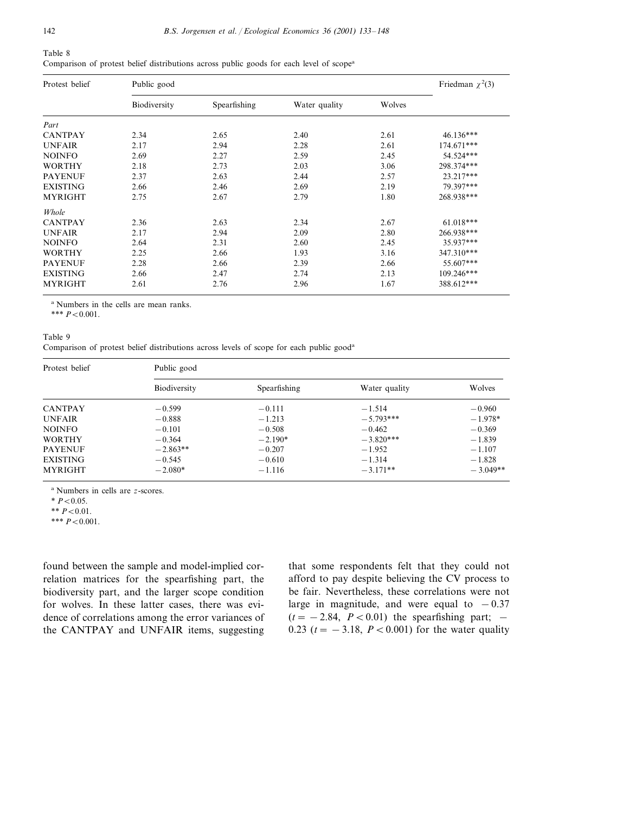| Protest belief  | Public good         |              |               |        |            |  |  |
|-----------------|---------------------|--------------|---------------|--------|------------|--|--|
|                 | <b>Biodiversity</b> | Spearfishing | Water quality | Wolves |            |  |  |
| Part            |                     |              |               |        |            |  |  |
| <b>CANTPAY</b>  | 2.34                | 2.65         | 2.40          | 2.61   | 46.136***  |  |  |
| <b>UNFAIR</b>   | 2.17                | 2.94         | 2.28          | 2.61   | 174.671*** |  |  |
| <b>NOINFO</b>   | 2.69                | 2.27         | 2.59          | 2.45   | 54.524***  |  |  |
| <b>WORTHY</b>   | 2.18                | 2.73         | 2.03          | 3.06   | 298.374*** |  |  |
| <b>PAYENUF</b>  | 2.37                | 2.63         | 2.44          | 2.57   | 23.217***  |  |  |
| <b>EXISTING</b> | 2.66                | 2.46         | 2.69          | 2.19   | 79.397***  |  |  |
| <b>MYRIGHT</b>  | 2.75                | 2.67         | 2.79          | 1.80   | 268.938*** |  |  |
| Whole           |                     |              |               |        |            |  |  |
| <b>CANTPAY</b>  | 2.36                | 2.63         | 2.34          | 2.67   | 61.018***  |  |  |
| <b>UNFAIR</b>   | 2.17                | 2.94         | 2.09          | 2.80   | 266.938*** |  |  |
| <b>NOINFO</b>   | 2.64                | 2.31         | 2.60          | 2.45   | 35.937***  |  |  |
| <b>WORTHY</b>   | 2.25                | 2.66         | 1.93          | 3.16   | 347.310*** |  |  |
| <b>PAYENUF</b>  | 2.28                | 2.66         | 2.39          | 2.66   | 55.607***  |  |  |
| <b>EXISTING</b> | 2.66                | 2.47         | 2.74          | 2.13   | 109.246*** |  |  |
| <b>MYRIGHT</b>  | 2.61                | 2.76         | 2.96          | 1.67   | 388.612*** |  |  |

Table 8 Comparison of protest belief distributions across public goods for each level of scope<sup>a</sup>

<sup>a</sup> Numbers in the cells are mean ranks.

\*\*\*  $P < 0.001$ .

#### Table 9

Comparison of protest belief distributions across levels of scope for each public good<sup>a</sup>

| Protest belief  | Public good  |              |               |            |  |  |  |  |
|-----------------|--------------|--------------|---------------|------------|--|--|--|--|
|                 | Biodiversity | Spearfishing | Water quality | Wolves     |  |  |  |  |
| <b>CANTPAY</b>  | $-0.599$     | $-0.111$     | $-1.514$      | $-0.960$   |  |  |  |  |
| <b>UNFAIR</b>   | $-0.888$     | $-1.213$     | $-5.793***$   | $-1.978*$  |  |  |  |  |
| <b>NOINFO</b>   | $-0.101$     | $-0.508$     | $-0.462$      | $-0.369$   |  |  |  |  |
| <b>WORTHY</b>   | $-0.364$     | $-2.190*$    | $-3.820***$   | $-1.839$   |  |  |  |  |
| <b>PAYENUF</b>  | $-2.863**$   | $-0.207$     | $-1.952$      | $-1.107$   |  |  |  |  |
| <b>EXISTING</b> | $-0.545$     | $-0.610$     | $-1.314$      | $-1.828$   |  |  |  |  |
| <b>MYRIGHT</b>  | $-2.080*$    | $-1.116$     | $-3.171**$    | $-3.049**$ |  |  |  |  |

<sup>a</sup> Numbers in cells are *z*-scores.

 $* p < 0.05$ 

 $*$  *P* < 0.01.

\*\*\*  $P < 0.001$ .

found between the sample and model-implied correlation matrices for the spearfishing part, the biodiversity part, and the larger scope condition for wolves. In these latter cases, there was evidence of correlations among the error variances of the CANTPAY and UNFAIR items, suggesting

that some respondents felt that they could not afford to pay despite believing the CV process to be fair. Nevertheless, these correlations were not large in magnitude, and were equal to  $-0.37$  $(t=-2.84, P<0.01)$  the spearfishing part; − 0.23 ( $t = -3.18$ ,  $P < 0.001$ ) for the water quality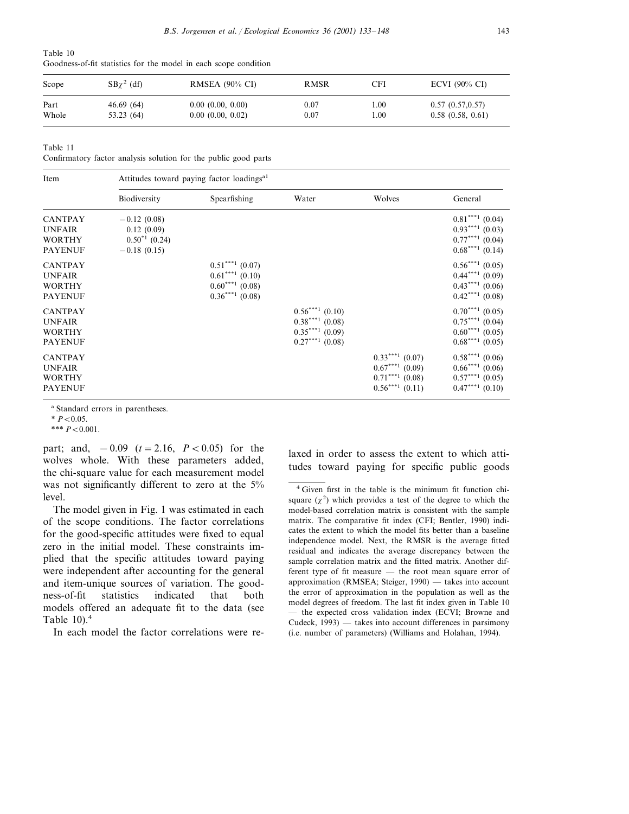Table 10 Goodness-of-fit statistics for the model in each scope condition

| Scope | $SB\chi^2$ (df) | RMSEA $(90\% \text{ CI})$ | <b>RMSR</b> | <b>CFI</b> | ECVI $(90\% \text{ CI})$ |
|-------|-----------------|---------------------------|-------------|------------|--------------------------|
| Part  | 46.69(64)       | 0.00(0.00, 0.00)          | 0.07        | 00.1       | 0.57(0.57, 0.57)         |
| Whole | 53.23 (64)      | 0.00(0.00, 0.02)          | 0.07        | 0.00       | 0.58(0.58, 0.61)         |

Table 11

Confirmatory factor analysis solution for the public good parts

| Item                                                               | Attitudes toward paying factor loadings <sup>a1</sup>              |                                                                                          |                                                                              |                                                                              |                                                                                      |  |  |  |  |
|--------------------------------------------------------------------|--------------------------------------------------------------------|------------------------------------------------------------------------------------------|------------------------------------------------------------------------------|------------------------------------------------------------------------------|--------------------------------------------------------------------------------------|--|--|--|--|
|                                                                    | Biodiversity                                                       | Spearfishing                                                                             | Water                                                                        | Wolves                                                                       | General                                                                              |  |  |  |  |
| <b>CANTPAY</b><br><b>UNFAIR</b><br><b>WORTHY</b><br><b>PAYENUF</b> | $-0.12(0.08)$<br>0.12(0.09)<br>$0.50^{*1}$ (0.24)<br>$-0.18(0.15)$ |                                                                                          |                                                                              |                                                                              | $0.81***1(0.04)$<br>$0.93***1(0.03)$<br>$0.77***1(0.04)$<br>$0.68***1(0.14)$         |  |  |  |  |
| <b>CANTPAY</b><br><b>UNFAIR</b><br><b>WORTHY</b><br><b>PAYENUF</b> |                                                                    | $0.51***1(0.07)$<br>$0.61^{***1}$ (0.10)<br>$0.60^{***1}$ (0.08)<br>$0.36^{***1}$ (0.08) |                                                                              |                                                                              | $0.56***1(0.05)$<br>$0.44***1(0.09)$<br>$0.43***1(0.06)$<br>$0.42***1(0.08)$         |  |  |  |  |
| <b>CANTPAY</b><br><b>UNFAIR</b><br><b>WORTHY</b><br><b>PAYENUF</b> |                                                                    |                                                                                          | $0.56***1(0.10)$<br>$0.38***1(0.08)$<br>$0.35***1(0.09)$<br>$0.27***1(0.08)$ |                                                                              | $0.70^{***1}$ (0.05)<br>$0.75***1(0.04)$<br>$0.60^{***1}$ (0.05)<br>$0.68***1(0.05)$ |  |  |  |  |
| <b>CANTPAY</b><br><b>UNFAIR</b><br><b>WORTHY</b><br><b>PAYENUF</b> |                                                                    |                                                                                          |                                                                              | $0.33***1(0.07)$<br>$0.67***1(0.09)$<br>$0.71***1(0.08)$<br>$0.56***1(0.11)$ | $0.58***1(0.06)$<br>$0.66***1(0.06)$<br>$0.57***1(0.05)$<br>$0.47***1(0.10)$         |  |  |  |  |

<sup>a</sup> Standard errors in parentheses.

 $* P < 0.05.$ 

\*\*\*  $P < 0.001$ .

part; and,  $-0.09$   $(t = 2.16, P < 0.05)$  for the wolves whole. With these parameters added, the chi-square value for each measurement model was not significantly different to zero at the  $5\%$ level.

The model given in Fig. 1 was estimated in each of the scope conditions. The factor correlations for the good-specific attitudes were fixed to equal zero in the initial model. These constraints implied that the specific attitudes toward paying were independent after accounting for the general and item-unique sources of variation. The goodness-of-fit statistics indicated that both models offered an adequate fit to the data (see Table  $10$ .<sup>4</sup>

In each model the factor correlations were re-

laxed in order to assess the extent to which attitudes toward paying for specific public goods

<sup>4</sup> Given first in the table is the minimum fit function chisquare  $(\chi^2)$  which provides a test of the degree to which the model-based correlation matrix is consistent with the sample matrix. The comparative fit index (CFI; Bentler, 1990) indicates the extent to which the model fits better than a baseline independence model. Next, the RMSR is the average fitted residual and indicates the average discrepancy between the sample correlation matrix and the fitted matrix. Another different type of fit measure — the root mean square error of approximation (RMSEA; Steiger, 1990) — takes into account the error of approximation in the population as well as the model degrees of freedom. The last fit index given in Table 10 — the expected cross validation index (ECVI; Browne and Cudeck, 1993) — takes into account differences in parsimony (i.e. number of parameters) (Williams and Holahan, 1994).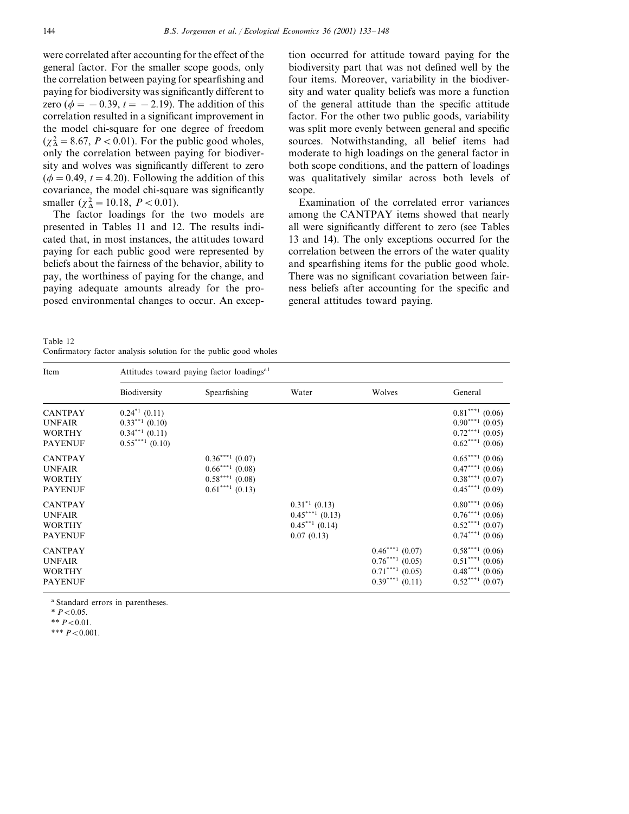were correlated after accounting for the effect of the general factor. For the smaller scope goods, only the correlation between paying for spearfishing and paying for biodiversity was significantly different to zero ( $\phi = -0.39$ ,  $t = -2.19$ ). The addition of this correlation resulted in a significant improvement in the model chi-square for one degree of freedom  $(\chi^2_{\Delta} = 8.67, P < 0.01)$ . For the public good wholes, only the correlation between paying for biodiversity and wolves was significantly different to zero  $(\phi=0.49, t=4.20)$ . Following the addition of this covariance, the model chi-square was significantly smaller ( $\chi^2$  = 10.18, *P* < 0.01).

The factor loadings for the two models are presented in Tables 11 and 12. The results indicated that, in most instances, the attitudes toward paying for each public good were represented by beliefs about the fairness of the behavior, ability to pay, the worthiness of paying for the change, and paying adequate amounts already for the proposed environmental changes to occur. An exception occurred for attitude toward paying for the biodiversity part that was not defined well by the four items. Moreover, variability in the biodiversity and water quality beliefs was more a function of the general attitude than the specific attitude factor. For the other two public goods, variability was split more evenly between general and specific sources. Notwithstanding, all belief items had moderate to high loadings on the general factor in both scope conditions, and the pattern of loadings was qualitatively similar across both levels of scope.

Examination of the correlated error variances among the CANTPAY items showed that nearly all were significantly different to zero (see Tables 13 and 14). The only exceptions occurred for the correlation between the errors of the water quality and spearfishing items for the public good whole. There was no significant covariation between fairness beliefs after accounting for the specific and general attitudes toward paying.

| Table 12                                                         |  |  |  |  |
|------------------------------------------------------------------|--|--|--|--|
| Confirmatory factor analysis solution for the public good wholes |  |  |  |  |

| Item                                                               | Attitudes toward paying factor loadings <sup>a1</sup>                                |                                                                                      |                                                                             |                                                                              |                                                                                      |  |  |  |  |
|--------------------------------------------------------------------|--------------------------------------------------------------------------------------|--------------------------------------------------------------------------------------|-----------------------------------------------------------------------------|------------------------------------------------------------------------------|--------------------------------------------------------------------------------------|--|--|--|--|
|                                                                    | Biodiversity                                                                         | Spearfishing                                                                         | Water                                                                       | Wolves                                                                       | General                                                                              |  |  |  |  |
| <b>CANTPAY</b><br><b>UNFAIR</b><br><b>WORTHY</b><br><b>PAYENUF</b> | $0.24^{*1}$ (0.11)<br>$0.33^{**1}$ (0.10)<br>$0.34^{**1}$ (0.11)<br>$0.55***1(0.10)$ |                                                                                      |                                                                             |                                                                              | $0.81***1(0.06)$<br>$0.90^{***1}$ (0.05)<br>$0.72***1(0.05)$<br>$0.62^{***1}$ (0.06) |  |  |  |  |
| <b>CANTPAY</b><br><b>UNFAIR</b><br><b>WORTHY</b><br><b>PAYENUF</b> |                                                                                      | $0.36***1(0.07)$<br>$0.66^{***1}$ (0.08)<br>$0.58***1(0.08)$<br>$0.61^{***1}$ (0.13) |                                                                             |                                                                              | $0.65***1(0.06)$<br>$0.47***1(0.06)$<br>$0.38***1(0.07)$<br>$0.45***1(0.09)$         |  |  |  |  |
| <b>CANTPAY</b><br><b>UNFAIR</b><br><b>WORTHY</b><br><b>PAYENUF</b> |                                                                                      |                                                                                      | $0.31^{*1}$ (0.13)<br>$0.45***1(0.13)$<br>$0.45^{*+1}$ (0.14)<br>0.07(0.13) |                                                                              | $0.80^{***1}$ (0.06)<br>$0.76***1(0.06)$<br>$0.52***1(0.07)$<br>$0.74***1(0.06)$     |  |  |  |  |
| <b>CANTPAY</b><br><b>UNFAIR</b><br><b>WORTHY</b><br><b>PAYENUF</b> |                                                                                      |                                                                                      |                                                                             | $0.46***1(0.07)$<br>$0.76***1(0.05)$<br>$0.71***1(0.05)$<br>$0.39***1(0.11)$ | $0.58***1(0.06)$<br>$0.51***1(0.06)$<br>$0.48***1(0.06)$<br>$0.52^{***1}$ (0.07)     |  |  |  |  |

<sup>a</sup> Standard errors in parentheses.

 $* P < 0.05$ .

 $*$ <sup>\*</sup>  $P < 0.01$ .

 $*** P<sub>0.001</sub>$ .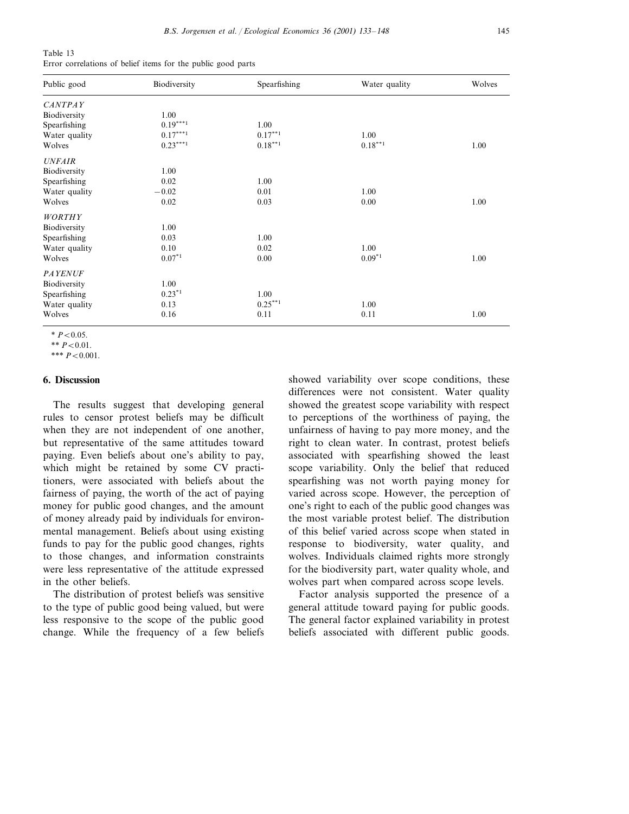| Table 13 |                                                              |  |  |  |  |
|----------|--------------------------------------------------------------|--|--|--|--|
|          | Error correlations of belief items for the public good parts |  |  |  |  |

| Public good    | Biodiversity | Spearfishing | Water quality | Wolves |
|----------------|--------------|--------------|---------------|--------|
| <b>CANTPAY</b> |              |              |               |        |
| Biodiversity   | 1.00         |              |               |        |
| Spearfishing   | $0.19***1$   | 1.00         |               |        |
| Water quality  | $0.17***1$   | $0.17***1$   | 1.00          |        |
| Wolves         | $0.23***1$   | $0.18***1$   | $0.18***1$    | 1.00   |
| <b>UNFAIR</b>  |              |              |               |        |
| Biodiversity   | 1.00         |              |               |        |
| Spearfishing   | 0.02         | 1.00         |               |        |
| Water quality  | $-0.02$      | 0.01         | 1.00          |        |
| Wolves         | 0.02         | 0.03         | 0.00          | 1.00   |
| <b>WORTHY</b>  |              |              |               |        |
| Biodiversity   | 1.00         |              |               |        |
| Spearfishing   | 0.03         | 1.00         |               |        |
| Water quality  | 0.10         | 0.02         | 1.00          |        |
| Wolves         | $0.07^{*1}$  | 0.00         | $0.09^{*1}$   | 1.00   |
| <b>PAYENUF</b> |              |              |               |        |
| Biodiversity   | 1.00         |              |               |        |
| Spearfishing   | $0.23^{*1}$  | 1.00         |               |        |
| Water quality  | 0.13         | $0.25***1$   | 1.00          |        |
| Wolves         | 0.16         | 0.11         | 0.11          | 1.00   |

 $* p < 0.05$ 

\*\*  $P < 0.01$ .

\*\*\*  $P < 0.001$ .

#### **6. Discussion**

The results suggest that developing general rules to censor protest beliefs may be difficult when they are not independent of one another, but representative of the same attitudes toward paying. Even beliefs about one's ability to pay, which might be retained by some CV practitioners, were associated with beliefs about the fairness of paying, the worth of the act of paying money for public good changes, and the amount of money already paid by individuals for environmental management. Beliefs about using existing funds to pay for the public good changes, rights to those changes, and information constraints were less representative of the attitude expressed in the other beliefs.

The distribution of protest beliefs was sensitive to the type of public good being valued, but were less responsive to the scope of the public good change. While the frequency of a few beliefs

showed variability over scope conditions, these differences were not consistent. Water quality showed the greatest scope variability with respect to perceptions of the worthiness of paying, the unfairness of having to pay more money, and the right to clean water. In contrast, protest beliefs associated with spearfishing showed the least scope variability. Only the belief that reduced spearfishing was not worth paying money for varied across scope. However, the perception of one's right to each of the public good changes was the most variable protest belief. The distribution of this belief varied across scope when stated in response to biodiversity, water quality, and wolves. Individuals claimed rights more strongly for the biodiversity part, water quality whole, and wolves part when compared across scope levels.

Factor analysis supported the presence of a general attitude toward paying for public goods. The general factor explained variability in protest beliefs associated with different public goods.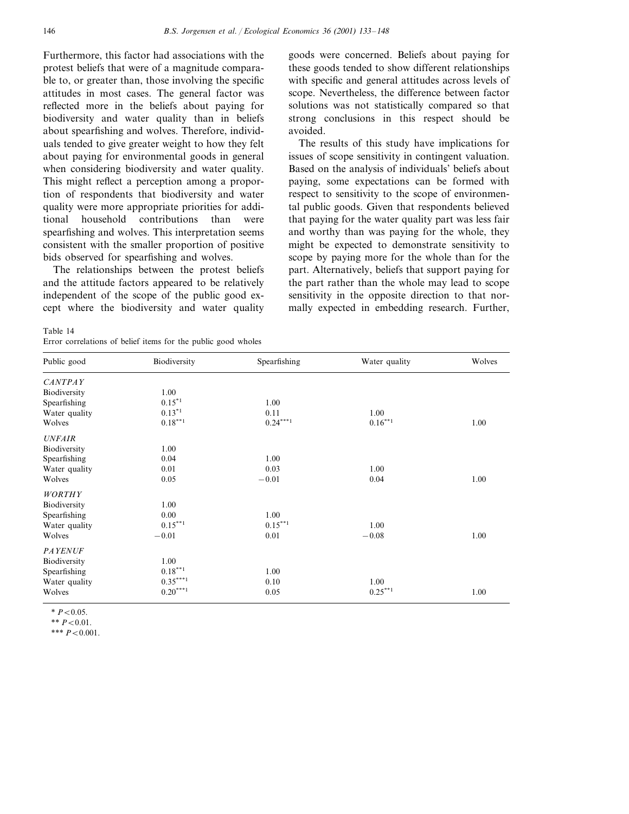Furthermore, this factor had associations with the protest beliefs that were of a magnitude comparable to, or greater than, those involving the specific attitudes in most cases. The general factor was reflected more in the beliefs about paying for biodiversity and water quality than in beliefs about spearfishing and wolves. Therefore, individuals tended to give greater weight to how they felt about paying for environmental goods in general when considering biodiversity and water quality. This might reflect a perception among a proportion of respondents that biodiversity and water quality were more appropriate priorities for additional household contributions than were spearfishing and wolves. This interpretation seems consistent with the smaller proportion of positive bids observed for spearfishing and wolves.

The relationships between the protest beliefs and the attitude factors appeared to be relatively independent of the scope of the public good except where the biodiversity and water quality

goods were concerned. Beliefs about paying for these goods tended to show different relationships with specific and general attitudes across levels of scope. Nevertheless, the difference between factor solutions was not statistically compared so that strong conclusions in this respect should be avoided.

The results of this study have implications for issues of scope sensitivity in contingent valuation. Based on the analysis of individuals' beliefs about paying, some expectations can be formed with respect to sensitivity to the scope of environmental public goods. Given that respondents believed that paying for the water quality part was less fair and worthy than was paying for the whole, they might be expected to demonstrate sensitivity to scope by paying more for the whole than for the part. Alternatively, beliefs that support paying for the part rather than the whole may lead to scope sensitivity in the opposite direction to that normally expected in embedding research. Further,

| Public good    | Biodiversity | Spearfishing | Water quality | Wolves |
|----------------|--------------|--------------|---------------|--------|
| <b>CANTPAY</b> |              |              |               |        |
| Biodiversity   | 1.00         |              |               |        |
| Spearfishing   | $0.15^{*1}$  | 1.00         |               |        |
| Water quality  | $0.13^{*1}$  | 0.11         | 1.00          |        |
| Wolves         | $0.18***1$   | $0.24***1$   | $0.16***1$    | 1.00   |
| <b>UNFAIR</b>  |              |              |               |        |
| Biodiversity   | 1.00         |              |               |        |
| Spearfishing   | 0.04         | 1.00         |               |        |
| Water quality  | 0.01         | 0.03         | 1.00          |        |
| Wolves         | 0.05         | $-0.01$      | 0.04          | 1.00   |
| <b>WORTHY</b>  |              |              |               |        |
| Biodiversity   | 1.00         |              |               |        |
| Spearfishing   | 0.00         | 1.00         |               |        |
| Water quality  | $0.15***1$   | $0.15***1$   | 1.00          |        |
| Wolves         | $-0.01$      | 0.01         | $-0.08$       | 1.00   |
| <b>PAYENUF</b> |              |              |               |        |
| Biodiversity   | 1.00         |              |               |        |
| Spearfishing   | $0.18***1$   | 1.00         |               |        |
| Water quality  | $0.35***1$   | 0.10         | 1.00          |        |
| Wolves         | $0.20***1$   | 0.05         | $0.25***1$    | 1.00   |

Table 14 Error correlations of belief items for the public good wholes

 $* P < 0.05$ .

 $*$  *P* < 0.01.

 $*** P<sub>0.001</sub>$ .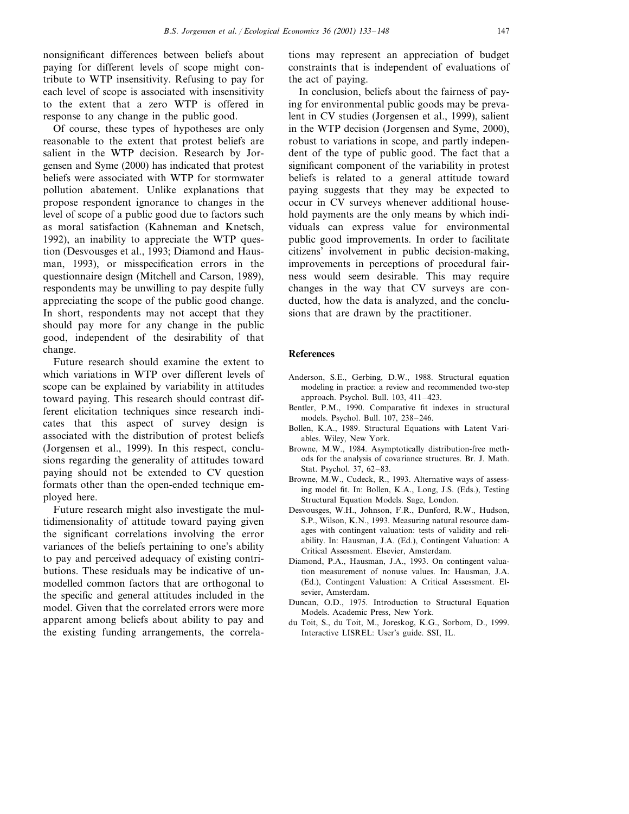nonsignificant differences between beliefs about paying for different levels of scope might contribute to WTP insensitivity. Refusing to pay for each level of scope is associated with insensitivity to the extent that a zero WTP is offered in response to any change in the public good.

Of course, these types of hypotheses are only reasonable to the extent that protest beliefs are salient in the WTP decision. Research by Jorgensen and Syme (2000) has indicated that protest beliefs were associated with WTP for stormwater pollution abatement. Unlike explanations that propose respondent ignorance to changes in the level of scope of a public good due to factors such as moral satisfaction (Kahneman and Knetsch, 1992), an inability to appreciate the WTP question (Desvousges et al., 1993; Diamond and Hausman, 1993), or misspecification errors in the questionnaire design (Mitchell and Carson, 1989), respondents may be unwilling to pay despite fully appreciating the scope of the public good change. In short, respondents may not accept that they should pay more for any change in the public good, independent of the desirability of that change.

Future research should examine the extent to which variations in WTP over different levels of scope can be explained by variability in attitudes toward paying. This research should contrast different elicitation techniques since research indicates that this aspect of survey design is associated with the distribution of protest beliefs (Jorgensen et al., 1999). In this respect, conclusions regarding the generality of attitudes toward paying should not be extended to CV question formats other than the open-ended technique employed here.

Future research might also investigate the multidimensionality of attitude toward paying given the significant correlations involving the error variances of the beliefs pertaining to one's ability to pay and perceived adequacy of existing contributions. These residuals may be indicative of unmodelled common factors that are orthogonal to the specific and general attitudes included in the model. Given that the correlated errors were more apparent among beliefs about ability to pay and the existing funding arrangements, the correlations may represent an appreciation of budget constraints that is independent of evaluations of the act of paying.

In conclusion, beliefs about the fairness of paying for environmental public goods may be prevalent in CV studies (Jorgensen et al., 1999), salient in the WTP decision (Jorgensen and Syme, 2000), robust to variations in scope, and partly independent of the type of public good. The fact that a significant component of the variability in protest beliefs is related to a general attitude toward paying suggests that they may be expected to occur in CV surveys whenever additional household payments are the only means by which individuals can express value for environmental public good improvements. In order to facilitate citizens' involvement in public decision-making, improvements in perceptions of procedural fairness would seem desirable. This may require changes in the way that CV surveys are conducted, how the data is analyzed, and the conclusions that are drawn by the practitioner.

#### **References**

- Anderson, S.E., Gerbing, D.W., 1988. Structural equation modeling in practice: a review and recommended two-step approach. Psychol. Bull. 103, 411–423.
- Bentler, P.M., 1990. Comparative fit indexes in structural models. Psychol. Bull. 107, 238–246.
- Bollen, K.A., 1989. Structural Equations with Latent Variables. Wiley, New York.
- Browne, M.W., 1984. Asymptotically distribution-free methods for the analysis of covariance structures. Br. J. Math. Stat. Psychol. 37, 62–83.
- Browne, M.W., Cudeck, R., 1993. Alternative ways of assessing model fit. In: Bollen, K.A., Long, J.S. (Eds.), Testing Structural Equation Models. Sage, London.
- Desvousges, W.H., Johnson, F.R., Dunford, R.W., Hudson, S.P., Wilson, K.N., 1993. Measuring natural resource damages with contingent valuation: tests of validity and reliability. In: Hausman, J.A. (Ed.), Contingent Valuation: A Critical Assessment. Elsevier, Amsterdam.
- Diamond, P.A., Hausman, J.A., 1993. On contingent valuation measurement of nonuse values. In: Hausman, J.A. (Ed.), Contingent Valuation: A Critical Assessment. Elsevier, Amsterdam.
- Duncan, O.D., 1975. Introduction to Structural Equation Models. Academic Press, New York.
- du Toit, S., du Toit, M., Joreskog, K.G., Sorbom, D., 1999. Interactive LISREL: User's guide. SSI, IL.